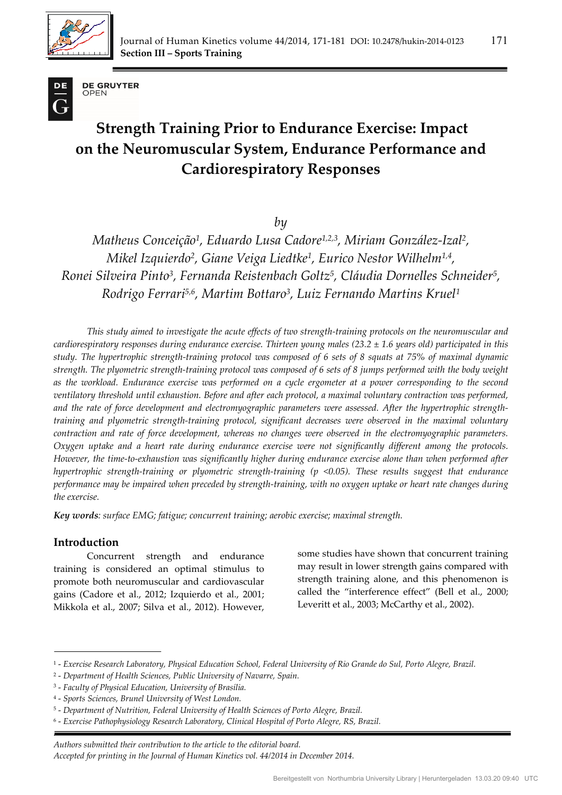



**DE GRUYTER OPEN** 

# **Strength Training Prior to Endurance Exercise: Impact on the Neuromuscular System, Endurance Performance and Cardiorespiratory Responses**

*by* 

*Matheus Conceição1, Eduardo Lusa Cadore1,2,3, Miriam González-Izal2, Mikel Izquierdo2, Giane Veiga Liedtke1, Eurico Nestor Wilhelm1,4, Ronei Silveira Pinto3, Fernanda Reistenbach Goltz5, Cláudia Dornelles Schneider5, Rodrigo Ferrari5,6, Martim Bottaro3, Luiz Fernando Martins Kruel1*

*This study aimed to investigate the acute effects of two strength-training protocols on the neuromuscular and cardiorespiratory responses during endurance exercise. Thirteen young males (23.2 ± 1.6 years old) participated in this study. The hypertrophic strength-training protocol was composed of 6 sets of 8 squats at 75% of maximal dynamic strength. The plyometric strength-training protocol was composed of 6 sets of 8 jumps performed with the body weight as the workload. Endurance exercise was performed on a cycle ergometer at a power corresponding to the second ventilatory threshold until exhaustion. Before and after each protocol, a maximal voluntary contraction was performed, and the rate of force development and electromyographic parameters were assessed. After the hypertrophic strengthtraining and plyometric strength-training protocol, significant decreases were observed in the maximal voluntary contraction and rate of force development, whereas no changes were observed in the electromyographic parameters. Oxygen uptake and a heart rate during endurance exercise were not significantly different among the protocols. However, the time-to-exhaustion was significantly higher during endurance exercise alone than when performed after hypertrophic strength-training or plyometric strength-training (p <0.05). These results suggest that endurance performance may be impaired when preceded by strength-training, with no oxygen uptake or heart rate changes during the exercise.* 

*Key words: surface EMG; fatigue; concurrent training; aerobic exercise; maximal strength.* 

# **Introduction**

Concurrent strength and endurance training is considered an optimal stimulus to promote both neuromuscular and cardiovascular gains (Cadore et al., 2012; Izquierdo et al., 2001; Mikkola et al., 2007; Silva et al., 2012). However,

some studies have shown that concurrent training may result in lower strength gains compared with strength training alone, and this phenomenon is called the "interference effect" (Bell et al., 2000; Leveritt et al., 2003; McCarthy et al., 2002).

*. Authors submitted their contribution to the article to the editorial board. Accepted for printing in the Journal of Human Kinetics vol. 44/2014 in December 2014.* 

<sup>1 -</sup> *Exercise Research Laboratory, Physical Education School, Federal University of Rio Grande do Sul, Porto Alegre, Brazil.* 

<sup>2 -</sup> *Department of Health Sciences, Public University of Navarre, Spain.* 

<sup>3 -</sup> *Faculty of Physical Education, University of Brasília.* 

<sup>4 -</sup> *Sports Sciences, Brunel University of West London.* 

<sup>5 -</sup> *Department of Nutrition, Federal University of Health Sciences of Porto Alegre, Brazil.* 

<sup>6 -</sup> *Exercise Pathophysiology Research Laboratory, Clinical Hospital of Porto Alegre, RS, Brazil.*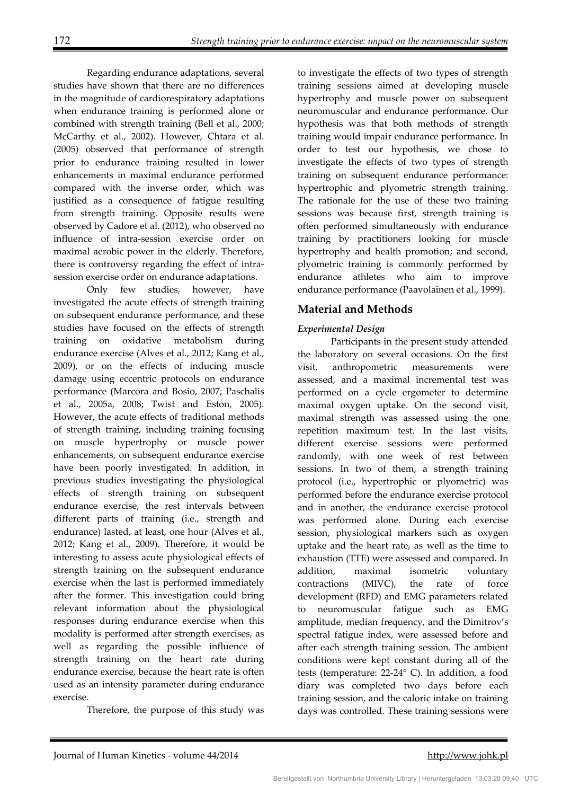Regarding endurance adaptations, several studies have shown that there are no differences in the magnitude of cardiorespiratory adaptations when endurance training is performed alone or combined with strength training (Bell et al., 2000; McCarthy et al., 2002). However, Chtara et al. (2005) observed that performance of strength prior to endurance training resulted in lower enhancements in maximal endurance performed compared with the inverse order, which was justified as a consequence of fatigue resulting from strength training. Opposite results were observed by Cadore et al. (2012), who observed no influence of intra-session exercise order on maximal aerobic power in the elderly. Therefore, there is controversy regarding the effect of intrasession exercise order on endurance adaptations.

Only few studies, however, have investigated the acute effects of strength training on subsequent endurance performance, and these studies have focused on the effects of strength training on oxidative metabolism during endurance exercise (Alves et al., 2012; Kang et al., 2009), or on the effects of inducing muscle damage using eccentric protocols on endurance performance (Marcora and Bosio, 2007; Paschalis et al., 2005a, 2008; Twist and Eston, 2005). However, the acute effects of traditional methods of strength training, including training focusing on muscle hypertrophy or muscle power enhancements, on subsequent endurance exercise have been poorly investigated. In addition, in previous studies investigating the physiological effects of strength training on subsequent endurance exercise, the rest intervals between different parts of training (i.e., strength and endurance) lasted, at least, one hour (Alves et al., 2012; Kang et al., 2009). Therefore, it would be interesting to assess acute physiological effects of strength training on the subsequent endurance exercise when the last is performed immediately after the former. This investigation could bring relevant information about the physiological responses during endurance exercise when this modality is performed after strength exercises, as well as regarding the possible influence of strength training on the heart rate during endurance exercise, because the heart rate is often used as an intensity parameter during endurance exercise.

Therefore, the purpose of this study was

to investigate the effects of two types of strength training sessions aimed at developing muscle hypertrophy and muscle power on subsequent neuromuscular and endurance performance. Our hypothesis was that both methods of strength training would impair endurance performance. In order to test our hypothesis, we chose to investigate the effects of two types of strength training on subsequent endurance performance: hypertrophic and plyometric strength training. The rationale for the use of these two training sessions was because first, strength training is often performed simultaneously with endurance training by practitioners looking for muscle hypertrophy and health promotion; and second, plyometric training is commonly performed by endurance athletes who aim to improve endurance performance (Paavolainen et al., 1999).

# **Material and Methods**

# *Experimental Design*

 Participants in the present study attended the laboratory on several occasions. On the first visit, anthropometric measurements were assessed, and a maximal incremental test was performed on a cycle ergometer to determine maximal oxygen uptake. On the second visit, maximal strength was assessed using the one repetition maximum test. In the last visits, different exercise sessions were performed randomly, with one week of rest between sessions. In two of them, a strength training protocol (i.e., hypertrophic or plyometric) was performed before the endurance exercise protocol and in another, the endurance exercise protocol was performed alone. During each exercise session, physiological markers such as oxygen uptake and the heart rate, as well as the time to exhaustion (TTE) were assessed and compared. In addition, maximal isometric voluntary contractions (MIVC), the rate of force development (RFD) and EMG parameters related to neuromuscular fatigue such as EMG amplitude, median frequency, and the Dimitrov's spectral fatigue index, were assessed before and after each strength training session. The ambient conditions were kept constant during all of the tests (temperature: 22-24° C). In addition, a food diary was completed two days before each training session, and the caloric intake on training days was controlled. These training sessions were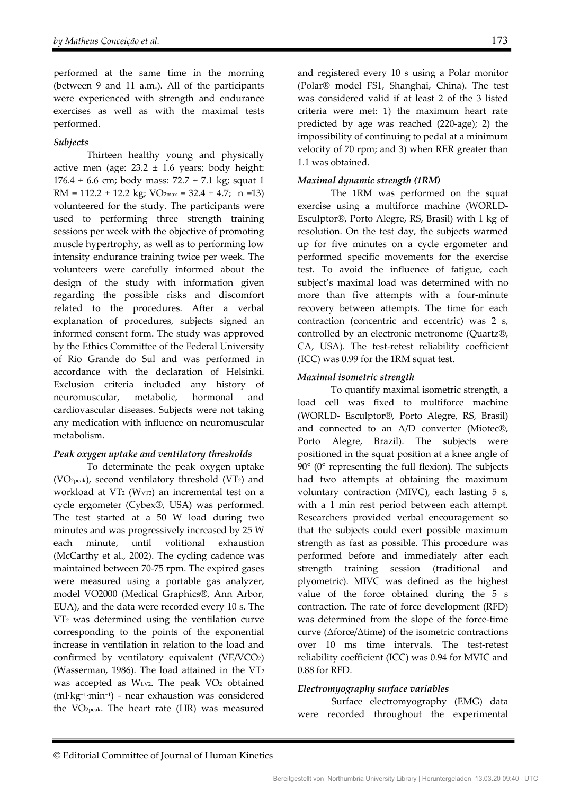performed at the same time in the morning (between 9 and 11 a.m.). All of the participants were experienced with strength and endurance exercises as well as with the maximal tests performed.

## *Subjects*

 Thirteen healthy young and physically active men (age:  $23.2 \pm 1.6$  years; body height: 176.4  $\pm$  6.6 cm; body mass: 72.7  $\pm$  7.1 kg; squat 1 RM = 112.2 ± 12.2 kg; VO<sub>2max</sub> = 32.4 ± 4.7; n =13) volunteered for the study. The participants were used to performing three strength training sessions per week with the objective of promoting muscle hypertrophy, as well as to performing low intensity endurance training twice per week. The volunteers were carefully informed about the design of the study with information given regarding the possible risks and discomfort related to the procedures. After a verbal explanation of procedures, subjects signed an informed consent form. The study was approved by the Ethics Committee of the Federal University of Rio Grande do Sul and was performed in accordance with the declaration of Helsinki. Exclusion criteria included any history of neuromuscular, metabolic, hormonal and cardiovascular diseases. Subjects were not taking any medication with influence on neuromuscular metabolism.

## *Peak oxygen uptake and ventilatory thresholds*

 To determinate the peak oxygen uptake (VO<sub>2peak</sub>), second ventilatory threshold (VT<sub>2</sub>) and workload at VT<sub>2</sub> (W<sub>VT2</sub>) an incremental test on a cycle ergometer (Cybex®, USA) was performed. The test started at a 50 W load during two minutes and was progressively increased by 25 W each minute, until volitional exhaustion (McCarthy et al., 2002). The cycling cadence was maintained between 70-75 rpm. The expired gases were measured using a portable gas analyzer, model VO2000 (Medical Graphics®, Ann Arbor, EUA), and the data were recorded every 10 s. The VT2 was determined using the ventilation curve corresponding to the points of the exponential increase in ventilation in relation to the load and confirmed by ventilatory equivalent (VE/VCO2) (Wasserman, 1986). The load attained in the VT2 was accepted as WLV2. The peak VO<sub>2</sub> obtained (ml·kg−1·min−1) - near exhaustion was considered the VO2peak. The heart rate (HR) was measured

and registered every 10 s using a Polar monitor (Polar® model FS1, Shanghai, China). The test was considered valid if at least 2 of the 3 listed criteria were met: 1) the maximum heart rate predicted by age was reached (220-age); 2) the impossibility of continuing to pedal at a minimum velocity of 70 rpm; and 3) when RER greater than 1.1 was obtained.

## *Maximal dynamic strength (1RM)*

 The 1RM was performed on the squat exercise using a multiforce machine (WORLD-Esculptor®, Porto Alegre, RS, Brasil) with 1 kg of resolution. On the test day, the subjects warmed up for five minutes on a cycle ergometer and performed specific movements for the exercise test. To avoid the influence of fatigue, each subject's maximal load was determined with no more than five attempts with a four-minute recovery between attempts. The time for each contraction (concentric and eccentric) was 2 s, controlled by an electronic metronome (Quartz®, CA, USA). The test-retest reliability coefficient (ICC) was 0.99 for the 1RM squat test.

## *Maximal isometric strength*

 To quantify maximal isometric strength, a load cell was fixed to multiforce machine (WORLD- Esculptor®, Porto Alegre, RS, Brasil) and connected to an A/D converter (Miotec®, Porto Alegre, Brazil). The subjects were positioned in the squat position at a knee angle of 90° (0° representing the full flexion). The subjects had two attempts at obtaining the maximum voluntary contraction (MIVC), each lasting 5 s, with a 1 min rest period between each attempt. Researchers provided verbal encouragement so that the subjects could exert possible maximum strength as fast as possible. This procedure was performed before and immediately after each strength training session (traditional and plyometric). MIVC was defined as the highest value of the force obtained during the 5 s contraction. The rate of force development (RFD) was determined from the slope of the force-time curve (Δforce/Δtime) of the isometric contractions over 10 ms time intervals. The test-retest reliability coefficient (ICC) was 0.94 for MVIC and 0.88 for RFD.

## *Electromyography surface variables*

Surface electromyography (EMG) data were recorded throughout the experimental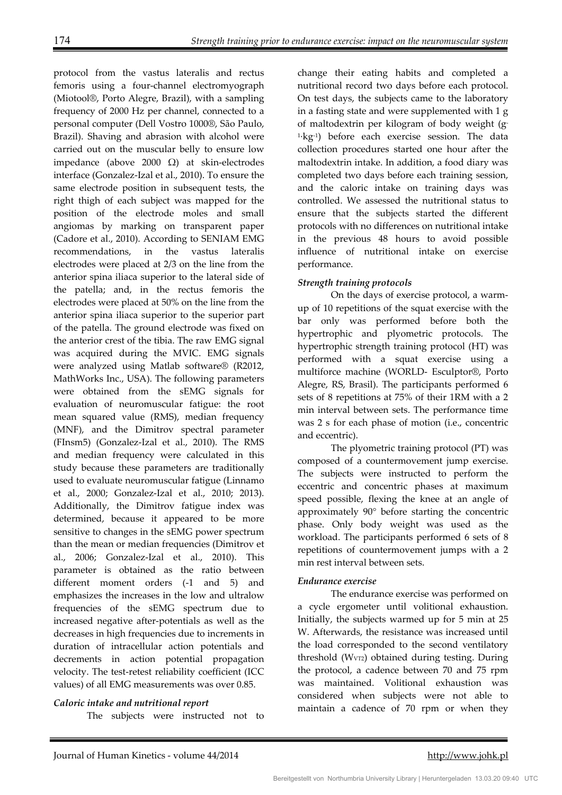protocol from the vastus lateralis and rectus femoris using a four-channel electromyograph (Miotool®, Porto Alegre, Brazil), with a sampling frequency of 2000 Hz per channel, connected to a personal computer (Dell Vostro 1000®, São Paulo, Brazil). Shaving and abrasion with alcohol were carried out on the muscular belly to ensure low impedance (above 2000 Ω) at skin-electrodes interface (Gonzalez-Izal et al., 2010). To ensure the same electrode position in subsequent tests, the right thigh of each subject was mapped for the position of the electrode moles and small angiomas by marking on transparent paper (Cadore et al., 2010). According to SENIAM EMG recommendations, in the vastus lateralis electrodes were placed at 2/3 on the line from the anterior spina iliaca superior to the lateral side of the patella; and, in the rectus femoris the electrodes were placed at 50% on the line from the anterior spina iliaca superior to the superior part of the patella. The ground electrode was fixed on the anterior crest of the tibia. The raw EMG signal was acquired during the MVIC. EMG signals were analyzed using Matlab software® (R2012, MathWorks Inc., USA). The following parameters were obtained from the sEMG signals for evaluation of neuromuscular fatigue: the root mean squared value (RMS), median frequency (MNF), and the Dimitrov spectral parameter (FInsm5) (Gonzalez-Izal et al., 2010). The RMS and median frequency were calculated in this study because these parameters are traditionally used to evaluate neuromuscular fatigue (Linnamo et al., 2000; Gonzalez-Izal et al., 2010; 2013). Additionally, the Dimitrov fatigue index was determined, because it appeared to be more sensitive to changes in the sEMG power spectrum than the mean or median frequencies (Dimitrov et al., 2006; Gonzalez-Izal et al., 2010). This parameter is obtained as the ratio between different moment orders (-1 and 5) and emphasizes the increases in the low and ultralow frequencies of the sEMG spectrum due to increased negative after-potentials as well as the decreases in high frequencies due to increments in duration of intracellular action potentials and decrements in action potential propagation velocity. The test-retest reliability coefficient (ICC values) of all EMG measurements was over 0.85.

#### *Caloric intake and nutritional report*

The subjects were instructed not to

change their eating habits and completed a nutritional record two days before each protocol. On test days, the subjects came to the laboratory in a fasting state and were supplemented with 1 g of maltodextrin per kilogram of body weight (g-1·kg-1) before each exercise session. The data collection procedures started one hour after the maltodextrin intake. In addition, a food diary was completed two days before each training session, and the caloric intake on training days was controlled. We assessed the nutritional status to ensure that the subjects started the different protocols with no differences on nutritional intake in the previous 48 hours to avoid possible influence of nutritional intake on exercise performance.

#### *Strength training protocols*

 On the days of exercise protocol, a warmup of 10 repetitions of the squat exercise with the bar only was performed before both the hypertrophic and plyometric protocols. The hypertrophic strength training protocol (HT) was performed with a squat exercise using a multiforce machine (WORLD- Esculptor®, Porto Alegre, RS, Brasil). The participants performed 6 sets of 8 repetitions at 75% of their 1RM with a 2 min interval between sets. The performance time was 2 s for each phase of motion (i.e., concentric and eccentric).

 The plyometric training protocol (PT) was composed of a countermovement jump exercise. The subjects were instructed to perform the eccentric and concentric phases at maximum speed possible, flexing the knee at an angle of approximately 90° before starting the concentric phase. Only body weight was used as the workload. The participants performed 6 sets of 8 repetitions of countermovement jumps with a 2 min rest interval between sets.

#### *Endurance exercise*

 The endurance exercise was performed on a cycle ergometer until volitional exhaustion. Initially, the subjects warmed up for 5 min at 25 W. Afterwards, the resistance was increased until the load corresponded to the second ventilatory threshold (WVT2) obtained during testing. During the protocol, a cadence between 70 and 75 rpm was maintained. Volitional exhaustion was considered when subjects were not able to maintain a cadence of 70 rpm or when they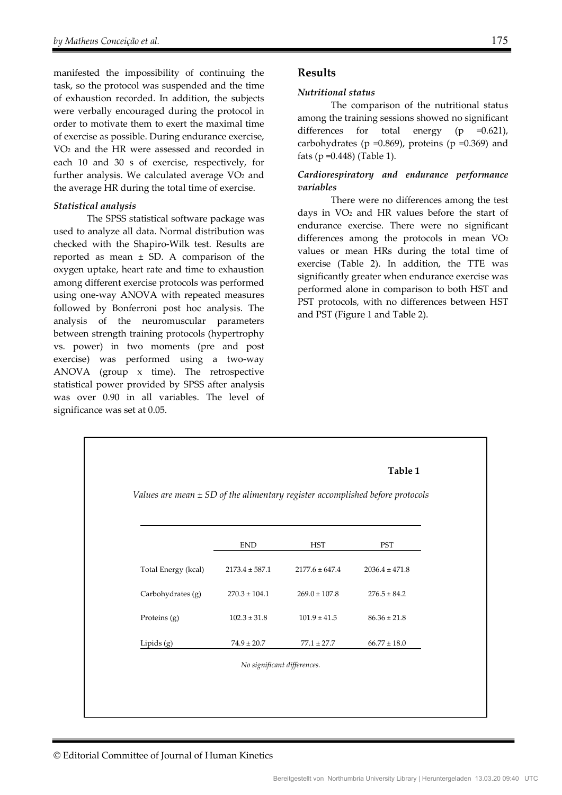manifested the impossibility of continuing the task, so the protocol was suspended and the time of exhaustion recorded. In addition, the subjects were verbally encouraged during the protocol in order to motivate them to exert the maximal time of exercise as possible. During endurance exercise, VO2 and the HR were assessed and recorded in each 10 and 30 s of exercise, respectively, for further analysis. We calculated average VO<sub>2</sub> and the average HR during the total time of exercise.

#### *Statistical analysis*

 $\mathsf{l}$ 

 The SPSS statistical software package was used to analyze all data. Normal distribution was checked with the Shapiro-Wilk test. Results are reported as mean  $\pm$  SD. A comparison of the oxygen uptake, heart rate and time to exhaustion among different exercise protocols was performed using one-way ANOVA with repeated measures followed by Bonferroni post hoc analysis. The analysis of the neuromuscular parameters between strength training protocols (hypertrophy vs. power) in two moments (pre and post exercise) was performed using a two-way ANOVA (group x time). The retrospective statistical power provided by SPSS after analysis was over 0.90 in all variables. The level of significance was set at 0.05.

## **Results**

#### *Nutritional status*

 The comparison of the nutritional status among the training sessions showed no significant differences for total energy  $(p = 0.621)$ , carbohydrates ( $p = 0.869$ ), proteins ( $p = 0.369$ ) and fats ( $p = 0.448$ ) (Table 1).

#### *Cardiorespiratory and endurance performance variables*

 There were no differences among the test days in VO2 and HR values before the start of endurance exercise. There were no significant differences among the protocols in mean VO<sub>2</sub> values or mean HRs during the total time of exercise (Table 2). In addition, the TTE was significantly greater when endurance exercise was performed alone in comparison to both HST and PST protocols, with no differences between HST and PST (Figure 1 and Table 2).

|                     | Values are mean $\pm$ SD of the alimentary register accomplished before protocols |                    |                    |  |  |
|---------------------|-----------------------------------------------------------------------------------|--------------------|--------------------|--|--|
|                     | <b>END</b>                                                                        | <b>HST</b>         | <b>PST</b>         |  |  |
| Total Energy (kcal) | $2173.4 \pm 587.1$                                                                | $2177.6 \pm 647.4$ | $2036.4 \pm 471.8$ |  |  |
| Carbohydrates (g)   | $270.3 \pm 104.1$                                                                 | $269.0 \pm 107.8$  | $276.5 \pm 84.2$   |  |  |
| Proteins (g)        | $102.3 \pm 31.8$                                                                  | $101.9 \pm 41.5$   | $86.36 \pm 21.8$   |  |  |
| Lipids (g)          | $74.9 \pm 20.7$                                                                   | $77.1 \pm 27.7$    | $66.77 \pm 18.0$   |  |  |
|                     | No significant differences.                                                       |                    |                    |  |  |

#### © Editorial Committee of Journal of Human Kinetics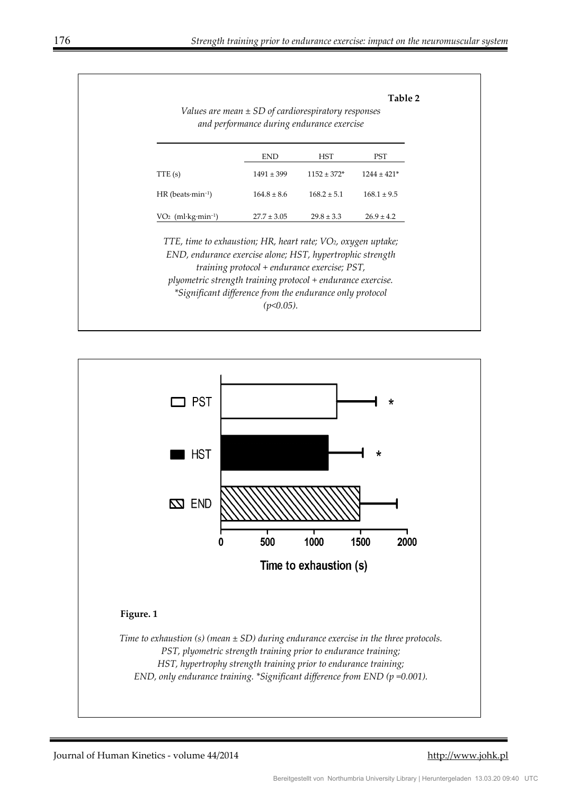

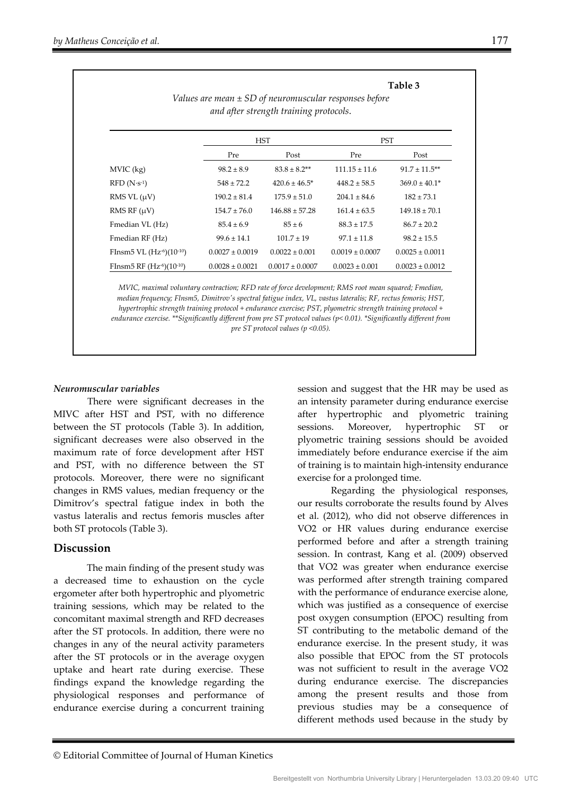|                                 | <b>HST</b>          |                     | <b>PST</b>          |                     |
|---------------------------------|---------------------|---------------------|---------------------|---------------------|
|                                 | Pre                 | Post                | Pre                 | Post                |
| $MVIC$ (kg)                     | $98.2 \pm 8.9$      | $83.8 \pm 8.2$ **   | $111.15 \pm 11.6$   | $91.7 \pm 11.5$ **  |
| $RFD (N·s-1)$                   | $548 \pm 72.2$      | $420.6 \pm 46.5^*$  | $448.2 \pm 58.5$    | $369.0 \pm 40.1*$   |
| RMS VL $(\mu V)$                | $190.2 \pm 81.4$    | $175.9 \pm 51.0$    | $204.1 \pm 84.6$    | $182 \pm 73.1$      |
| RMS RF $(\mu V)$                | $154.7 \pm 76.0$    | $146.88 \pm 57.28$  | $161.4 \pm 63.5$    | $149.18 \pm 70.1$   |
| Fmedian VL (Hz)                 | $85.4 \pm 6.9$      | $85 \pm 6$          | $88.3 \pm 17.5$     | $86.7 \pm 20.2$     |
| Fmedian RF (Hz)                 | $99.6 \pm 14.1$     | $101.7 \pm 19$      | $97.1 \pm 11.8$     | $98.2 \pm 15.5$     |
| FInsm5 VL $(Hz^{-6})(10^{-10})$ | $0.0027 \pm 0.0019$ | $0.0022 \pm 0.001$  | $0.0019 \pm 0.0007$ | $0.0025 \pm 0.0011$ |
| FInsm5 RF $(Hz^{-6})(10^{-10})$ | $0.0028 \pm 0.0021$ | $0.0017 \pm 0.0007$ | $0.0023 \pm 0.001$  | $0.0023 \pm 0.0012$ |

*median frequency; Flnsm5, Dimitrov's spectral fatigue index, VL, vastus lateralis; RF, rectus femoris; HST, hypertrophic strength training protocol + endurance exercise; PST, plyometric strength training protocol + endurance exercise. \*\*Significantly different from pre ST protocol values (p< 0.01). \*Significantly different from pre ST protocol values (p <0.05).* 

#### *Neuromuscular variables*

There were significant decreases in the MIVC after HST and PST, with no difference between the ST protocols (Table 3). In addition, significant decreases were also observed in the maximum rate of force development after HST and PST, with no difference between the ST protocols. Moreover, there were no significant changes in RMS values, median frequency or the Dimitrov's spectral fatigue index in both the vastus lateralis and rectus femoris muscles after both ST protocols (Table 3).

## **Discussion**

The main finding of the present study was a decreased time to exhaustion on the cycle ergometer after both hypertrophic and plyometric training sessions, which may be related to the concomitant maximal strength and RFD decreases after the ST protocols. In addition, there were no changes in any of the neural activity parameters after the ST protocols or in the average oxygen uptake and heart rate during exercise. These findings expand the knowledge regarding the physiological responses and performance of endurance exercise during a concurrent training

session and suggest that the HR may be used as an intensity parameter during endurance exercise after hypertrophic and plyometric training sessions. Moreover, hypertrophic ST or plyometric training sessions should be avoided immediately before endurance exercise if the aim of training is to maintain high-intensity endurance exercise for a prolonged time.

**Table 3 3** 

Regarding the physiological responses, our results corroborate the results found by Alves et al. (2012), who did not observe differences in VO2 or HR values during endurance exercise performed before and after a strength training session. In contrast, Kang et al. (2009) observed that VO2 was greater when endurance exercise was performed after strength training compared with the performance of endurance exercise alone, which was justified as a consequence of exercise post oxygen consumption (EPOC) resulting from ST contributing to the metabolic demand of the endurance exercise. In the present study, it was also possible that EPOC from the ST protocols was not sufficient to result in the average VO2 during endurance exercise. The discrepancies among the present results and those from previous studies may be a consequence of different methods used because in the study by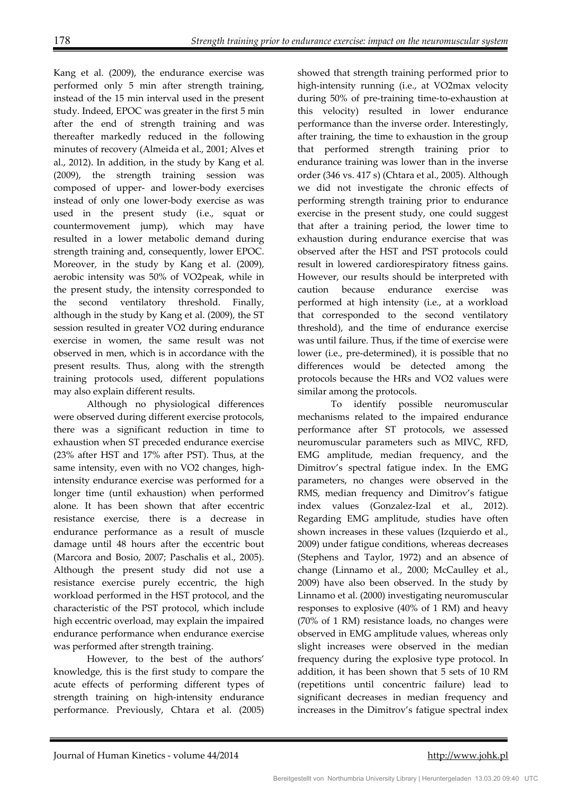Kang et al. (2009), the endurance exercise was performed only 5 min after strength training, instead of the 15 min interval used in the present study. Indeed, EPOC was greater in the first 5 min after the end of strength training and was thereafter markedly reduced in the following minutes of recovery (Almeida et al., 2001; Alves et al., 2012). In addition, in the study by Kang et al. (2009), the strength training session was composed of upper- and lower-body exercises instead of only one lower-body exercise as was used in the present study (i.e., squat or countermovement jump), which may have resulted in a lower metabolic demand during strength training and, consequently, lower EPOC. Moreover, in the study by Kang et al. (2009), aerobic intensity was 50% of VO2peak, while in the present study, the intensity corresponded to the second ventilatory threshold. Finally, although in the study by Kang et al. (2009), the ST session resulted in greater VO2 during endurance exercise in women, the same result was not observed in men, which is in accordance with the present results. Thus, along with the strength training protocols used, different populations may also explain different results.

Although no physiological differences were observed during different exercise protocols, there was a significant reduction in time to exhaustion when ST preceded endurance exercise (23% after HST and 17% after PST). Thus, at the same intensity, even with no VO2 changes, highintensity endurance exercise was performed for a longer time (until exhaustion) when performed alone. It has been shown that after eccentric resistance exercise, there is a decrease in endurance performance as a result of muscle damage until 48 hours after the eccentric bout (Marcora and Bosio, 2007; Paschalis et al., 2005). Although the present study did not use a resistance exercise purely eccentric, the high workload performed in the HST protocol, and the characteristic of the PST protocol, which include high eccentric overload, may explain the impaired endurance performance when endurance exercise was performed after strength training.

However, to the best of the authors' knowledge, this is the first study to compare the acute effects of performing different types of strength training on high-intensity endurance performance. Previously, Chtara et al. (2005)

showed that strength training performed prior to high-intensity running (i.e., at VO2max velocity during 50% of pre-training time-to-exhaustion at this velocity) resulted in lower endurance performance than the inverse order. Interestingly, after training, the time to exhaustion in the group that performed strength training prior to endurance training was lower than in the inverse order (346 vs. 417 s) (Chtara et al., 2005). Although we did not investigate the chronic effects of performing strength training prior to endurance exercise in the present study, one could suggest that after a training period, the lower time to exhaustion during endurance exercise that was observed after the HST and PST protocols could result in lowered cardiorespiratory fitness gains. However, our results should be interpreted with caution because endurance exercise was performed at high intensity (i.e., at a workload that corresponded to the second ventilatory threshold), and the time of endurance exercise was until failure. Thus, if the time of exercise were lower (i.e., pre-determined), it is possible that no differences would be detected among the protocols because the HRs and VO2 values were similar among the protocols.

To identify possible neuromuscular mechanisms related to the impaired endurance performance after ST protocols, we assessed neuromuscular parameters such as MIVC, RFD, EMG amplitude, median frequency, and the Dimitrov's spectral fatigue index. In the EMG parameters, no changes were observed in the RMS, median frequency and Dimitrov's fatigue index values (Gonzalez-Izal et al., 2012). Regarding EMG amplitude, studies have often shown increases in these values (Izquierdo et al., 2009) under fatigue conditions, whereas decreases (Stephens and Taylor, 1972) and an absence of change (Linnamo et al., 2000; McCaulley et al., 2009) have also been observed. In the study by Linnamo et al. (2000) investigating neuromuscular responses to explosive (40% of 1 RM) and heavy (70% of 1 RM) resistance loads, no changes were observed in EMG amplitude values, whereas only slight increases were observed in the median frequency during the explosive type protocol. In addition, it has been shown that 5 sets of 10 RM (repetitions until concentric failure) lead to significant decreases in median frequency and increases in the Dimitrov's fatigue spectral index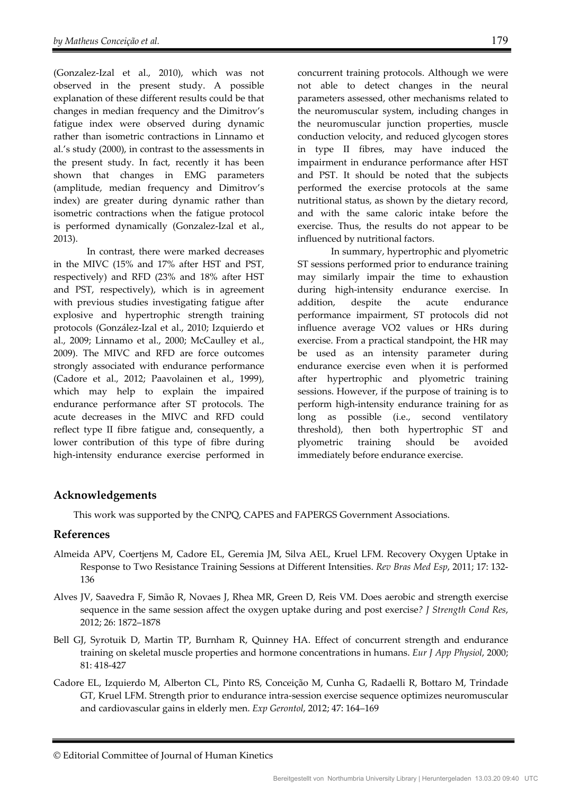(Gonzalez-Izal et al., 2010), which was not observed in the present study. A possible explanation of these different results could be that changes in median frequency and the Dimitrov's fatigue index were observed during dynamic rather than isometric contractions in Linnamo et al.'s study (2000), in contrast to the assessments in the present study. In fact, recently it has been shown that changes in EMG parameters (amplitude, median frequency and Dimitrov's index) are greater during dynamic rather than isometric contractions when the fatigue protocol is performed dynamically (Gonzalez-Izal et al., 2013).

In contrast, there were marked decreases in the MIVC (15% and 17% after HST and PST, respectively) and RFD (23% and 18% after HST and PST, respectively), which is in agreement with previous studies investigating fatigue after explosive and hypertrophic strength training protocols (González-Izal et al., 2010; Izquierdo et al., 2009; Linnamo et al., 2000; McCaulley et al., 2009). The MIVC and RFD are force outcomes strongly associated with endurance performance (Cadore et al., 2012; Paavolainen et al., 1999), which may help to explain the impaired endurance performance after ST protocols. The acute decreases in the MIVC and RFD could reflect type II fibre fatigue and, consequently, a lower contribution of this type of fibre during high-intensity endurance exercise performed in concurrent training protocols. Although we were not able to detect changes in the neural parameters assessed, other mechanisms related to the neuromuscular system, including changes in the neuromuscular junction properties, muscle conduction velocity, and reduced glycogen stores in type II fibres, may have induced the impairment in endurance performance after HST and PST. It should be noted that the subjects performed the exercise protocols at the same nutritional status, as shown by the dietary record, and with the same caloric intake before the exercise. Thus, the results do not appear to be influenced by nutritional factors.

In summary, hypertrophic and plyometric ST sessions performed prior to endurance training may similarly impair the time to exhaustion during high-intensity endurance exercise. In addition, despite the acute endurance performance impairment, ST protocols did not influence average VO2 values or HRs during exercise. From a practical standpoint, the HR may be used as an intensity parameter during endurance exercise even when it is performed after hypertrophic and plyometric training sessions. However, if the purpose of training is to perform high-intensity endurance training for as long as possible (i.e., second ventilatory threshold), then both hypertrophic ST and plyometric training should be avoided immediately before endurance exercise.

## **Acknowledgements**

This work was supported by the CNPQ, CAPES and FAPERGS Government Associations.

## **References**

- Almeida APV, Coertjens M, Cadore EL, Geremia JM, Silva AEL, Kruel LFM. Recovery Oxygen Uptake in Response to Two Resistance Training Sessions at Different Intensities. *Rev Bras Med Esp*, 2011; 17: 132- 136
- Alves JV, Saavedra F, Simão R, Novaes J, Rhea MR, Green D, Reis VM. Does aerobic and strength exercise sequence in the same session affect the oxygen uptake during and post exercise*? J Strength Cond Res*, 2012; 26: 1872–1878
- Bell GJ, Syrotuik D, Martin TP, Burnham R, Quinney HA. Effect of concurrent strength and endurance training on skeletal muscle properties and hormone concentrations in humans. *Eur J App Physiol*, 2000; 81: 418-427
- Cadore EL, Izquierdo M, Alberton CL, Pinto RS, Conceição M, Cunha G, Radaelli R, Bottaro M, Trindade GT, Kruel LFM. Strength prior to endurance intra-session exercise sequence optimizes neuromuscular and cardiovascular gains in elderly men. *Exp Gerontol*, 2012; 47: 164–169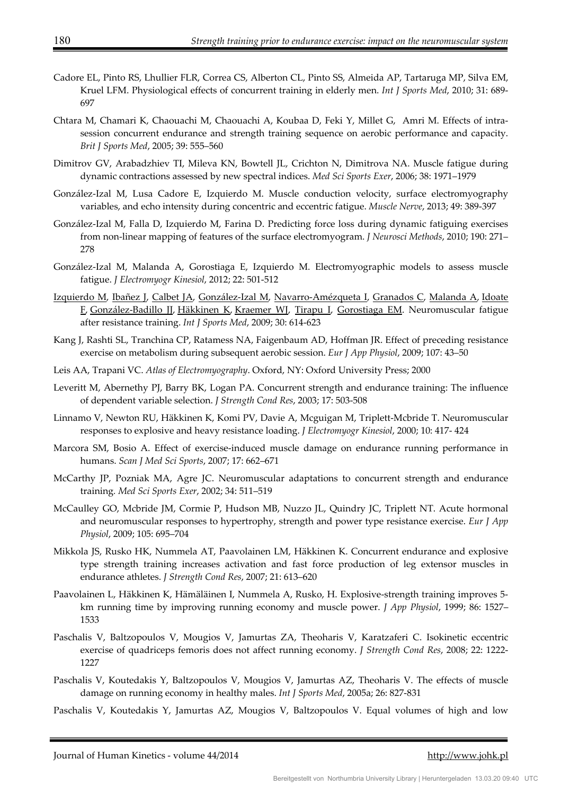- Cadore EL, Pinto RS, Lhullier FLR, Correa CS, Alberton CL, Pinto SS, Almeida AP, Tartaruga MP, Silva EM, Kruel LFM. Physiological effects of concurrent training in elderly men. *Int J Sports Med*, 2010; 31: 689- 697
- Chtara M, Chamari K, Chaouachi M, Chaouachi A, Koubaa D, Feki Y, Millet G, Amri M. Effects of intrasession concurrent endurance and strength training sequence on aerobic performance and capacity. *Brit J Sports Med*, 2005; 39: 555–560
- Dimitrov GV, Arabadzhiev TI, Mileva KN, Bowtell JL, Crichton N, Dimitrova NA. Muscle fatigue during dynamic contractions assessed by new spectral indices. *Med Sci Sports Exer*, 2006; 38: 1971–1979
- González-Izal M, Lusa Cadore E, Izquierdo M. Muscle conduction velocity, surface electromyography variables, and echo intensity during concentric and eccentric fatigue. *Muscle Nerve*, 2013; 49: 389-397
- González-Izal M, Falla D, Izquierdo M, Farina D. Predicting force loss during dynamic fatiguing exercises from non-linear mapping of features of the surface electromyogram. *J Neurosci Methods*, 2010; 190: 271– 278
- González-Izal M, Malanda A, Gorostiaga E, Izquierdo M. Electromyographic models to assess muscle fatigue. *J Electromyogr Kinesiol*, 2012; 22: 501-512
- Izquierdo M, Ibañez J, Calbet JA, González-Izal M, Navarro-Amézqueta I, Granados C, Malanda A, Idoate F, González-Badillo JJ, Häkkinen K, Kraemer WJ, Tirapu I, Gorostiaga EM. Neuromuscular fatigue after resistance training. *Int J Sports Med*, 2009; 30: 614-623
- Kang J, Rashti SL, Tranchina CP, Ratamess NA, Faigenbaum AD, Hoffman JR. Effect of preceding resistance exercise on metabolism during subsequent aerobic session. *Eur J App Physiol*, 2009; 107: 43–50
- Leis AA, Trapani VC. *Atlas of Electromyography*. Oxford, NY: Oxford University Press; 2000
- Leveritt M, Abernethy PJ, Barry BK, Logan PA. Concurrent strength and endurance training: The influence of dependent variable selection. *J Strength Cond Res*, 2003; 17: 503-508
- Linnamo V, Newton RU, Häkkinen K, Komi PV, Davie A, Mcguigan M, Triplett-Mcbride T. Neuromuscular responses to explosive and heavy resistance loading. *J Electromyogr Kinesiol*, 2000; 10: 417- 424
- Marcora SM, Bosio A. Effect of exercise-induced muscle damage on endurance running performance in humans. *Scan J Med Sci Sports*, 2007; 17: 662–671
- McCarthy JP, Pozniak MA, Agre JC. Neuromuscular adaptations to concurrent strength and endurance training*. Med Sci Sports Exer*, 2002; 34: 511–519
- McCaulley GO, Mcbride JM, Cormie P, Hudson MB, Nuzzo JL, Quindry JC, Triplett NT. Acute hormonal and neuromuscular responses to hypertrophy, strength and power type resistance exercise. *Eur J App Physiol*, 2009; 105: 695–704
- Mikkola JS, Rusko HK, Nummela AT, Paavolainen LM, Häkkinen K. Concurrent endurance and explosive type strength training increases activation and fast force production of leg extensor muscles in endurance athletes. *J Strength Cond Res*, 2007; 21: 613–620
- Paavolainen L, Häkkinen K, Hämäläinen I, Nummela A, Rusko, H. Explosive-strength training improves 5 km running time by improving running economy and muscle power. *J App Physiol*, 1999; 86: 1527– 1533
- Paschalis V, Baltzopoulos V, Mougios V, Jamurtas ZA, Theoharis V, Karatzaferi C. Isokinetic eccentric exercise of quadriceps femoris does not affect running economy. *J Strength Cond Res*, 2008; 22: 1222- 1227
- Paschalis V, Koutedakis Y, Baltzopoulos V, Mougios V, Jamurtas AZ, Theoharis V. The effects of muscle damage on running economy in healthy males. *Int J Sports Med*, 2005a; 26: 827-831
- Paschalis V, Koutedakis Y, Jamurtas AZ, Mougios V, Baltzopoulos V. Equal volumes of high and low